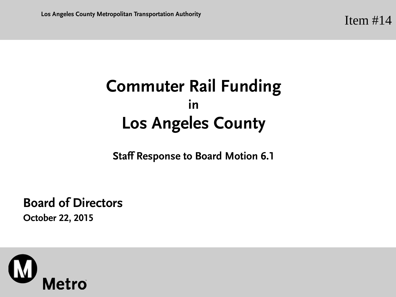## **Commuter Rail Funding in Los Angeles County**

**Staff Response to Board Motion 6.1**

**Board of Directors October 22, 2015**

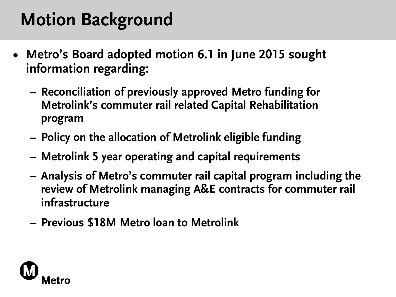## **Motion Background**

- **• Metro's Board adopted motion 6.1 in June 2015 sought information regarding:**
	- **– Reconciliation of previously approved Metro funding for Metrolink's commuter rail related Capital Rehabilitation program**
	- **– Policy on the allocation of Metrolink eligible funding**
	- **– Metrolink 5 year operating and capital requirements**
	- **– Analysis of Metro's commuter rail capital program including the review of Metrolink managing A&E contracts for commuter rail infrastructure**
	- **– Previous \$18M Metro loan to Metrolink**